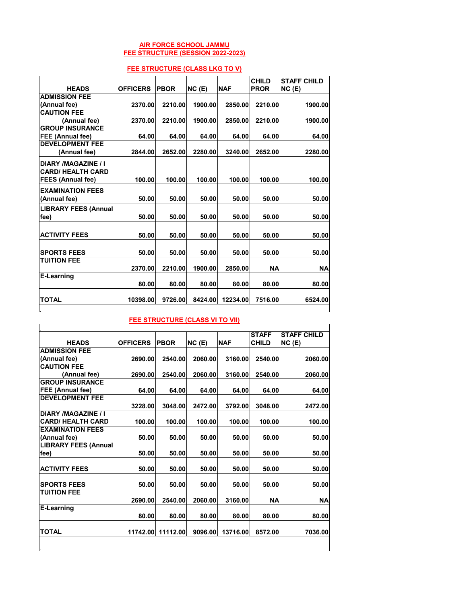## **AIR FORCE SCHOOL JAMMU FEE STRUCTURE (SESSION 2022-2023)**

| . ,                                             |                 |             |         |            |                             |                             |  |
|-------------------------------------------------|-----------------|-------------|---------|------------|-----------------------------|-----------------------------|--|
| <b>HEADS</b>                                    | <b>OFFICERS</b> | <b>PBOR</b> | NC(E)   | <b>NAF</b> | <b>CHILD</b><br><b>PROR</b> | <b>STAFF CHILD</b><br>NC(E) |  |
| <b>ADMISSION FEE</b>                            |                 |             |         |            |                             |                             |  |
| (Annual fee)                                    | 2370.00         | 2210.00     | 1900.00 | 2850.00    | 2210.00                     | 1900.00                     |  |
| <b>CAUTION FEE</b>                              |                 |             |         |            |                             |                             |  |
| (Annual fee)                                    | 2370.00         | 2210.00     | 1900.00 | 2850.00    | 2210.00                     | 1900.00                     |  |
| <b>GROUP INSURANCE</b>                          |                 |             |         |            |                             |                             |  |
| FEE (Annual fee)                                | 64.00           | 64.00       | 64.00   | 64.00      | 64.00                       | 64.00                       |  |
| <b>DEVELOPMENT FEE</b>                          |                 |             |         |            |                             |                             |  |
| (Annual fee)                                    | 2844.00         | 2652.00     | 2280.00 | 3240.00    | 2652.00                     | 2280.00                     |  |
| DIARY /MAGAZINE / I<br><b>CARD/ HEALTH CARD</b> |                 |             |         |            |                             |                             |  |
| <b>FEES (Annual fee)</b>                        | 100.00          | 100.00      | 100.00  | 100.00     | 100.00                      | 100.00                      |  |
| <b>EXAMINATION FEES</b><br>(Annual fee)         | 50.00           | 50.00       | 50.00   | 50.00      | 50.00                       | 50.00                       |  |
| <b>LIBRARY FEES (Annual</b>                     |                 |             |         |            |                             |                             |  |
| fee)                                            | 50.00           | 50.00       | 50.00   | 50.00      | 50.00                       | 50.00                       |  |
|                                                 |                 |             |         |            |                             |                             |  |
| <b>ACTIVITY FEES</b>                            | 50.00           | 50.00       | 50.00   | 50.00      | 50.00                       | 50.00                       |  |
|                                                 |                 |             |         |            |                             |                             |  |
| <b>SPORTS FEES</b>                              | 50.00           | 50.00       | 50.00   | 50.00      | 50.00                       | 50.00                       |  |
| <b>TUITION FEE</b>                              | 2370.00         | 2210.00     | 1900.00 | 2850.00    | <b>NA</b>                   | <b>NA</b>                   |  |
| E-Learning                                      |                 |             |         |            |                             |                             |  |
|                                                 | 80.00           | 80.00       | 80.00   | 80.00      | 80.00                       | 80.00                       |  |
| TOTAL                                           | 10398.00        | 9726.00     | 8424.00 | 12234.00   | 7516.00                     | 6524.00                     |  |

## **FEE STRUCTURE (CLASS LKG TO V)**

## **FEE STRUCTURE (CLASS VI TO VII)**

|                             |                 |             |         |            | <b>STAFF</b> | <b>STAFF CHILD</b> |
|-----------------------------|-----------------|-------------|---------|------------|--------------|--------------------|
| <b>HEADS</b>                | <b>OFFICERS</b> | <b>PBOR</b> | NC(E)   | <b>NAF</b> | <b>CHILD</b> | NC(E)              |
| <b>ADMISSION FEE</b>        |                 |             |         |            |              |                    |
| (Annual fee)                | 2690.00         | 2540.00     | 2060.00 | 3160.00    | 2540.00      | 2060.00            |
| <b>CAUTION FEE</b>          |                 |             |         |            |              |                    |
| (Annual fee)                | 2690.00         | 2540.00     | 2060.00 | 3160.00    | 2540.00      | 2060.00            |
| <b>GROUP INSURANCE</b>      |                 |             |         |            |              |                    |
| FEE (Annual fee)            | 64.00           | 64.00       | 64.00   | 64.00      | 64.00        | 64.00              |
| <b>DEVELOPMENT FEE</b>      |                 |             |         |            |              |                    |
|                             | 3228.00         | 3048.00     | 2472.00 | 3792.00    | 3048.00      | 2472.00            |
| <b>DIARY /MAGAZINE / I</b>  |                 |             |         |            |              |                    |
| <b>CARD/ HEALTH CARD</b>    | 100.00          | 100.00      | 100.00  | 100.00     | 100.00       | 100.00             |
| <b>EXAMINATION FEES</b>     |                 |             |         |            |              |                    |
| (Annual fee)                | 50.00           | 50.00       | 50.00   | 50.00      | 50.00        | 50.00              |
| <b>LIBRARY FEES (Annual</b> |                 |             |         |            |              |                    |
| fee)                        | 50.00           | 50.00       | 50.00   | 50.00      | 50.00        | 50.00              |
|                             |                 |             |         |            |              |                    |
| <b>ACTIVITY FEES</b>        | 50.00           | 50.00       | 50.00   | 50.00      | 50.00        | 50.00              |
|                             |                 |             |         |            |              |                    |
| <b>SPORTS FEES</b>          | 50.00           | 50.00       | 50.00   | 50.00      | 50.00        | 50.00              |
| <b>TUITION FEE</b>          |                 |             |         |            |              |                    |
|                             | 2690.00         | 2540.00     | 2060.00 | 3160.00    | <b>NA</b>    | <b>NA</b>          |
| E-Learning                  |                 |             |         |            |              |                    |
|                             | 80.00           | 80.00       | 80.00   | 80.00      | 80.00        | 80.00              |
|                             |                 |             |         |            |              |                    |
| <b>TOTAL</b>                | 11742.00        | 11112.00    | 9096.00 | 13716.00   | 8572.00      | 7036.00            |

 $\begin{array}{c} \hline \end{array}$